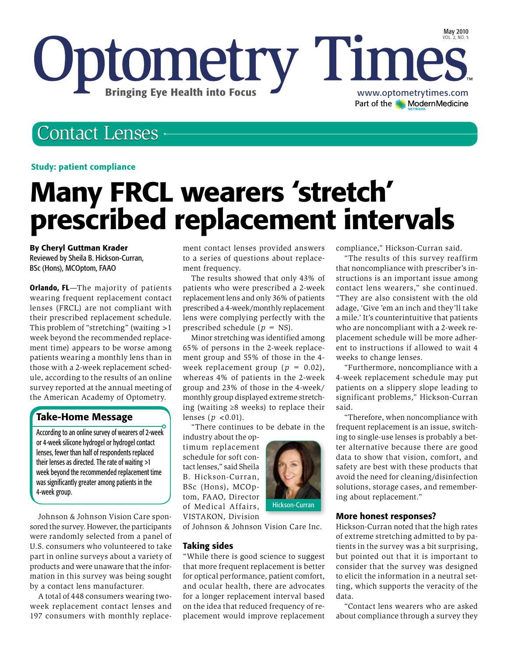

# Contact Lenses

#### Study: patient compliance

# Many FRCL wearers 'stretch' prescribed replacement intervals

#### By Cheryl Guttman Krader

Reviewed by Sheila B. Hickson-Curran, BSc (Hons), MCOptom, FAAO

**Orlando, FL**—The majority of patients wearing frequent replacement contact lenses (FRCL) are not compliant with their prescribed replacement schedule. This problem of "stretching" (waiting >1 week beyond the recommended replacement time) appears to be worse among patients wearing a monthly lens than in those with a 2-week replacement schedule, according to the results of an online survey reported at the annual meeting of the American Academy of Optometry.

### Take-Home Message

According to an online survey of wearers of 2-week or 4-week silicone hydrogel or hydrogel contact lenses, fewer than half of respondents replaced their lenses as directed. The rate of waiting >1 week beyond the recommended replacement time was significantly greater among patients in the 4-week group.

Johnson & Johnson Vision Care sponsored the survey. However, the participants were randomly selected from a panel of U.S. consumers who volunteered to take part in online surveys about a variety of products and were unaware that the information in this survey was being sought by a contact lens manufacturer.

A total of 448 consumers wearing twoweek replacement contact lenses and 197 consumers with monthly replacement contact lenses provided answers to a series of questions about replacement frequency.

The results showed that only 43% of patients who were prescribed a 2-week replacement lens and only 36% of patients prescribed a 4-week/monthly replacement lens were complying perfectly with the prescribed schedule (*p* = NS).

Minor stretching was identified among 65% of persons in the 2-week replacement group and 55% of those in the 4 week replacement group  $(p = 0.02)$ , whereas 4% of patients in the 2-week group and 23% of those in the 4-week/ monthly group displayed extreme stretching (waiting ≥8 weeks) to replace their lenses ( $p < 0.01$ ).

"There continues to be debate in the

industry about the optimum replacement schedule for soft contact lenses," said Sheila B. Hickson-Curran, BSc (Hons), MCOptom, FAAO, Director of Medical Affairs, VISTAKON, Division



of Johnson & Johnson Vision Care Inc.

#### Taking sides

"While there is good science to suggest that more frequent replacement is better for optical performance, patient comfort, and ocular health, there are advocates for a longer replacement interval based on the idea that reduced frequency of replacement would improve replacement compliance," Hickson-Curran said.

"The results of this survey reaffirm that noncompliance with prescriber's instructions is an important issue among contact lens wearers," she continued. "They are also consistent with the old adage, 'Give 'em an inch and they'll take a mile.' It's counterintuitive that patients who are noncompliant with a 2-week replacement schedule will be more adherent to instructions if allowed to wait 4 weeks to change lenses.

"Furthermore, noncompliance with a 4-week replacement schedule may put patients on a slippery slope leading to significant problems," Hickson-Curran said.

"Therefore, when noncompliance with frequent replacement is an issue, switching to single-use lenses is probably a better alternative because there are good data to show that vision, comfort, and safety are best with these products that avoid the need for cleaning/disinfection solutions, storage cases, and remembering about replacement."

#### More honest responses?

Hickson-Curran noted that the high rates of extreme stretching admitted to by patients in the survey was a bit surprising, but pointed out that it is important to consider that the survey was designed to elicit the information in a neutral setting, which supports the veracity of the data.

"Contact lens wearers who are asked about compliance through a survey they